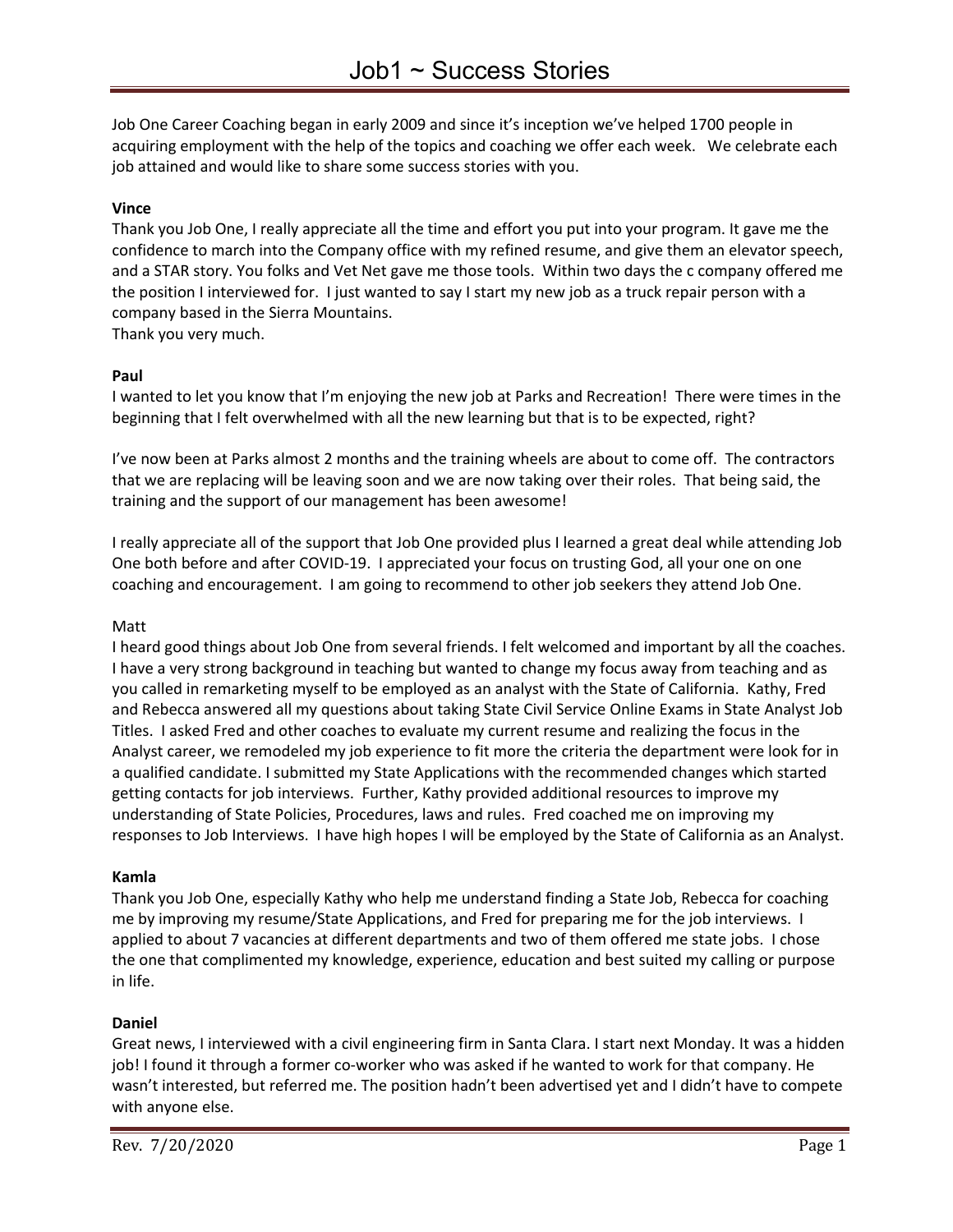Job One Career Coaching began in early 2009 and since it's inception we've helped 1700 people in acquiring employment with the help of the topics and coaching we offer each week. We celebrate each job attained and would like to share some success stories with you.

### **Vince**

Thank you Job One, I really appreciate all the time and effort you put into your program. It gave me the confidence to march into the Company office with my refined resume, and give them an elevator speech, and a STAR story. You folks and Vet Net gave me those tools. Within two days the c company offered me the position I interviewed for. I just wanted to say I start my new job as a truck repair person with a company based in the Sierra Mountains. Thank you very much.

### **Paul**

I wanted to let you know that I'm enjoying the new job at Parks and Recreation! There were times in the beginning that I felt overwhelmed with all the new learning but that is to be expected, right?

I've now been at Parks almost 2 months and the training wheels are about to come off. The contractors that we are replacing will be leaving soon and we are now taking over their roles. That being said, the training and the support of our management has been awesome!

I really appreciate all of the support that Job One provided plus I learned a great deal while attending Job One both before and after COVID-19. I appreciated your focus on trusting God, all your one on one coaching and encouragement. I am going to recommend to other job seekers they attend Job One.

### Matt

I heard good things about Job One from several friends. I felt welcomed and important by all the coaches. I have a very strong background in teaching but wanted to change my focus away from teaching and as you called in remarketing myself to be employed as an analyst with the State of California. Kathy, Fred and Rebecca answered all my questions about taking State Civil Service Online Exams in State Analyst Job Titles. I asked Fred and other coaches to evaluate my current resume and realizing the focus in the Analyst career, we remodeled my job experience to fit more the criteria the department were look for in a qualified candidate. I submitted my State Applications with the recommended changes which started getting contacts for job interviews. Further, Kathy provided additional resources to improve my understanding of State Policies, Procedures, laws and rules. Fred coached me on improving my responses to Job Interviews. I have high hopes I will be employed by the State of California as an Analyst.

### **Kamla**

Thank you Job One, especially Kathy who help me understand finding a State Job, Rebecca for coaching me by improving my resume/State Applications, and Fred for preparing me for the job interviews. I applied to about 7 vacancies at different departments and two of them offered me state jobs. I chose the one that complimented my knowledge, experience, education and best suited my calling or purpose in life.

### **Daniel**

Great news, I interviewed with a civil engineering firm in Santa Clara. I start next Monday. It was a hidden job! I found it through a former co-worker who was asked if he wanted to work for that company. He wasn't interested, but referred me. The position hadn't been advertised yet and I didn't have to compete with anyone else.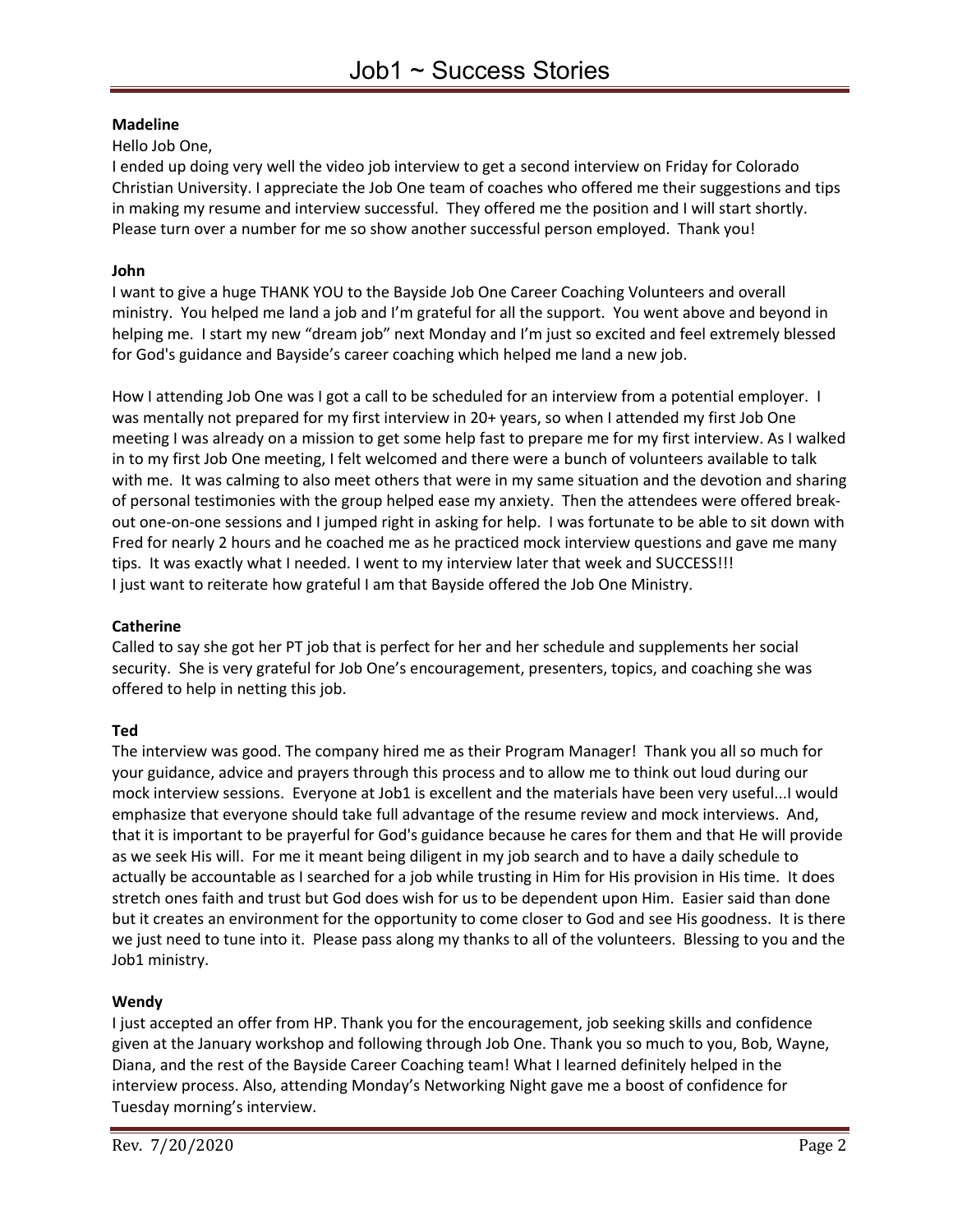# **Madeline**

Hello Job One,

I ended up doing very well the video job interview to get a second interview on Friday for Colorado Christian University. I appreciate the Job One team of coaches who offered me their suggestions and tips in making my resume and interview successful. They offered me the position and I will start shortly. Please turn over a number for me so show another successful person employed. Thank you!

# **John**

I want to give a huge THANK YOU to the Bayside Job One Career Coaching Volunteers and overall ministry. You helped me land a job and I'm grateful for all the support. You went above and beyond in helping me. I start my new "dream job" next Monday and I'm just so excited and feel extremely blessed for God's guidance and Bayside's career coaching which helped me land a new job.

How I attending Job One was I got a call to be scheduled for an interview from a potential employer. I was mentally not prepared for my first interview in 20+ years, so when I attended my first Job One meeting I was already on a mission to get some help fast to prepare me for my first interview. As I walked in to my first Job One meeting, I felt welcomed and there were a bunch of volunteers available to talk with me. It was calming to also meet others that were in my same situation and the devotion and sharing of personal testimonies with the group helped ease my anxiety. Then the attendees were offered breakout one-on-one sessions and I jumped right in asking for help. I was fortunate to be able to sit down with Fred for nearly 2 hours and he coached me as he practiced mock interview questions and gave me many tips. It was exactly what I needed. I went to my interview later that week and SUCCESS!!! I just want to reiterate how grateful I am that Bayside offered the Job One Ministry.

# **Catherine**

Called to say she got her PT job that is perfect for her and her schedule and supplements her social security. She is very grateful for Job One's encouragement, presenters, topics, and coaching she was offered to help in netting this job.

# **Ted**

The interview was good. The company hired me as their Program Manager! Thank you all so much for your guidance, advice and prayers through this process and to allow me to think out loud during our mock interview sessions. Everyone at Job1 is excellent and the materials have been very useful...I would emphasize that everyone should take full advantage of the resume review and mock interviews. And, that it is important to be prayerful for God's guidance because he cares for them and that He will provide as we seek His will. For me it meant being diligent in my job search and to have a daily schedule to actually be accountable as I searched for a job while trusting in Him for His provision in His time. It does stretch ones faith and trust but God does wish for us to be dependent upon Him. Easier said than done but it creates an environment for the opportunity to come closer to God and see His goodness. It is there we just need to tune into it. Please pass along my thanks to all of the volunteers. Blessing to you and the Job1 ministry.

### **Wendy**

I just accepted an offer from HP. Thank you for the encouragement, job seeking skills and confidence given at the January workshop and following through Job One. Thank you so much to you, Bob, Wayne, Diana, and the rest of the Bayside Career Coaching team! What I learned definitely helped in the interview process. Also, attending Monday's Networking Night gave me a boost of confidence for Tuesday morning's interview.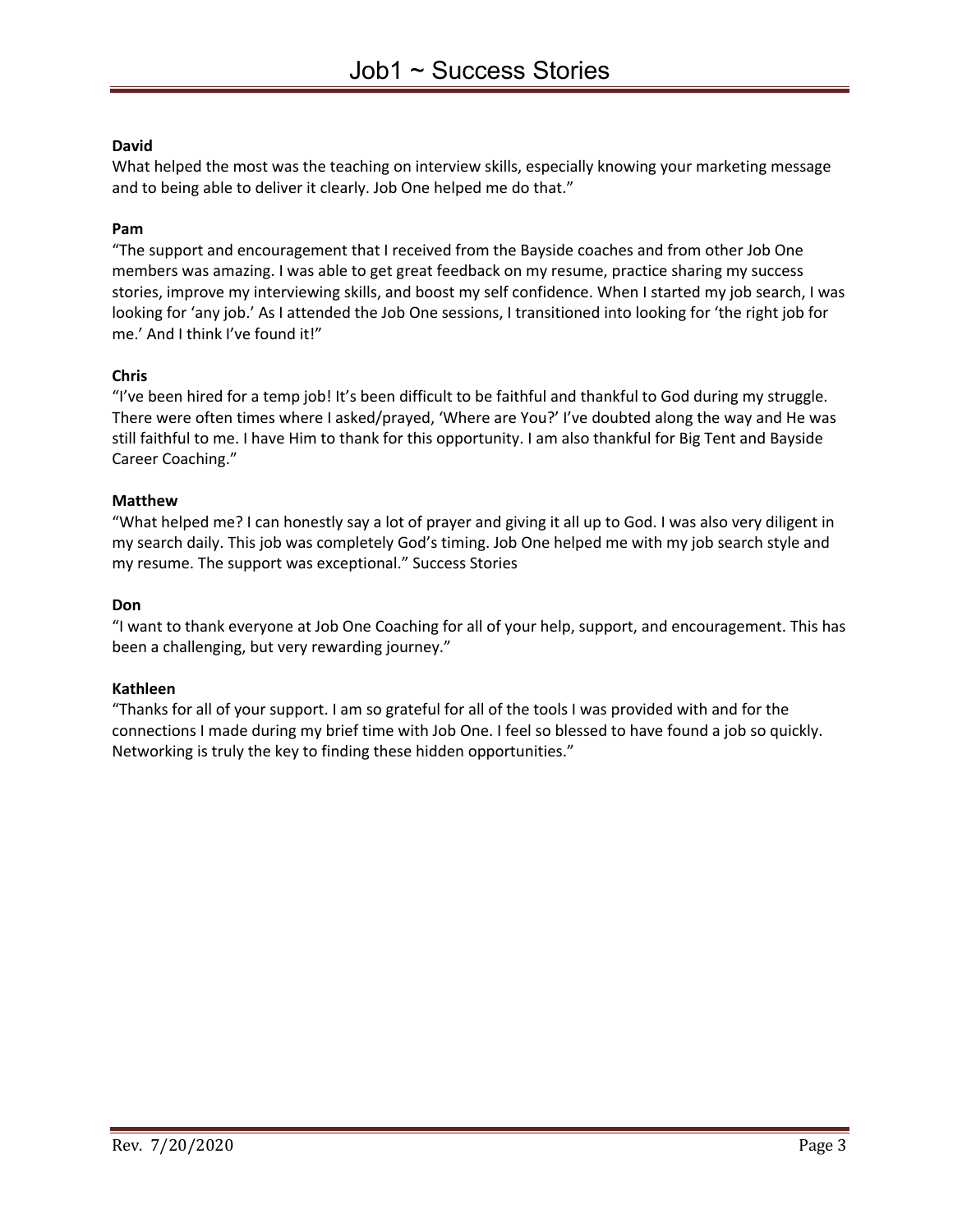### **David**

What helped the most was the teaching on interview skills, especially knowing your marketing message and to being able to deliver it clearly. Job One helped me do that."

### **Pam**

"The support and encouragement that I received from the Bayside coaches and from other Job One members was amazing. I was able to get great feedback on my resume, practice sharing my success stories, improve my interviewing skills, and boost my self confidence. When I started my job search, I was looking for 'any job.' As I attended the Job One sessions, I transitioned into looking for 'the right job for me.' And I think I've found it!"

### **Chris**

"I've been hired for a temp job! It's been difficult to be faithful and thankful to God during my struggle. There were often times where I asked/prayed, 'Where are You?' I've doubted along the way and He was still faithful to me. I have Him to thank for this opportunity. I am also thankful for Big Tent and Bayside Career Coaching."

### **Matthew**

"What helped me? I can honestly say a lot of prayer and giving it all up to God. I was also very diligent in my search daily. This job was completely God's timing. Job One helped me with my job search style and my resume. The support was exceptional." Success Stories

### **Don**

"I want to thank everyone at Job One Coaching for all of your help, support, and encouragement. This has been a challenging, but very rewarding journey."

### **Kathleen**

"Thanks for all of your support. I am so grateful for all of the tools I was provided with and for the connections I made during my brief time with Job One. I feel so blessed to have found a job so quickly. Networking is truly the key to finding these hidden opportunities."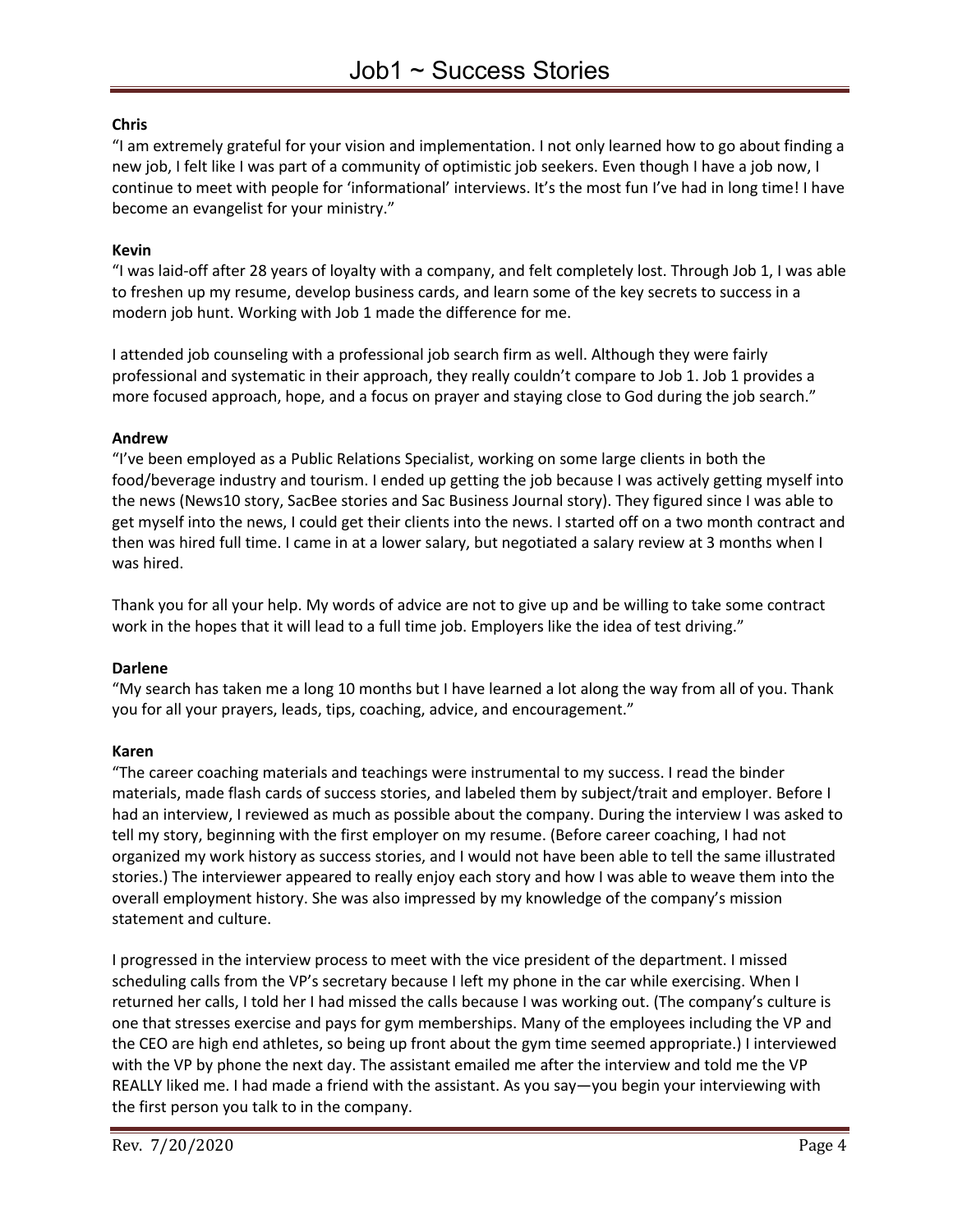# **Chris**

"I am extremely grateful for your vision and implementation. I not only learned how to go about finding a new job, I felt like I was part of a community of optimistic job seekers. Even though I have a job now, I continue to meet with people for 'informational' interviews. It's the most fun I've had in long time! I have become an evangelist for your ministry."

### **Kevin**

"I was laid-off after 28 years of loyalty with a company, and felt completely lost. Through Job 1, I was able to freshen up my resume, develop business cards, and learn some of the key secrets to success in a modern job hunt. Working with Job 1 made the difference for me.

I attended job counseling with a professional job search firm as well. Although they were fairly professional and systematic in their approach, they really couldn't compare to Job 1. Job 1 provides a more focused approach, hope, and a focus on prayer and staying close to God during the job search."

### **Andrew**

"I've been employed as a Public Relations Specialist, working on some large clients in both the food/beverage industry and tourism. I ended up getting the job because I was actively getting myself into the news (News10 story, SacBee stories and Sac Business Journal story). They figured since I was able to get myself into the news, I could get their clients into the news. I started off on a two month contract and then was hired full time. I came in at a lower salary, but negotiated a salary review at 3 months when I was hired.

Thank you for all your help. My words of advice are not to give up and be willing to take some contract work in the hopes that it will lead to a full time job. Employers like the idea of test driving."

### **Darlene**

"My search has taken me a long 10 months but I have learned a lot along the way from all of you. Thank you for all your prayers, leads, tips, coaching, advice, and encouragement."

### **Karen**

"The career coaching materials and teachings were instrumental to my success. I read the binder materials, made flash cards of success stories, and labeled them by subject/trait and employer. Before I had an interview, I reviewed as much as possible about the company. During the interview I was asked to tell my story, beginning with the first employer on my resume. (Before career coaching, I had not organized my work history as success stories, and I would not have been able to tell the same illustrated stories.) The interviewer appeared to really enjoy each story and how I was able to weave them into the overall employment history. She was also impressed by my knowledge of the company's mission statement and culture.

I progressed in the interview process to meet with the vice president of the department. I missed scheduling calls from the VP's secretary because I left my phone in the car while exercising. When I returned her calls, I told her I had missed the calls because I was working out. (The company's culture is one that stresses exercise and pays for gym memberships. Many of the employees including the VP and the CEO are high end athletes, so being up front about the gym time seemed appropriate.) I interviewed with the VP by phone the next day. The assistant emailed me after the interview and told me the VP REALLY liked me. I had made a friend with the assistant. As you say—you begin your interviewing with the first person you talk to in the company.